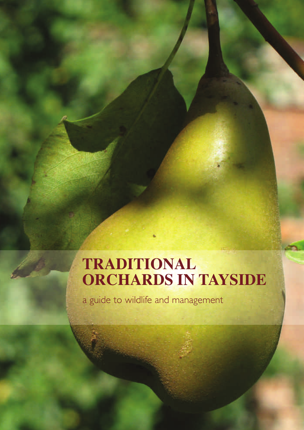## **TRADITIONAL ORCHARDS IN TAYSIDE**

a guide to wildlife and management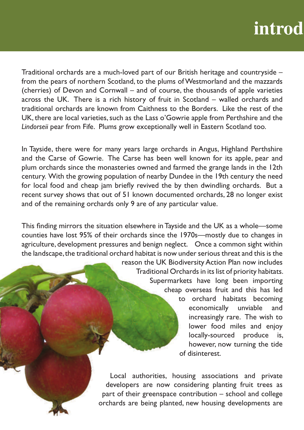# **introd**

Traditional orchards are a much-loved part of our British heritage and countryside – from the pears of northern Scotland, to the plums of Westmorland and the mazzards (cherries) of Devon and Cornwall – and of course, the thousands of apple varieties across the UK. There is a rich history of fruit in Scotland – walled orchards and traditional orchards are known from Caithness to the Borders. Like the rest of the UK, there are local varieties, such as the Lass o'Gowrie apple from Perthshire and the *Lindorseii* pear from Fife. Plums grow exceptionally well in Eastern Scotland too.

In Tayside, there were for many years large orchards in Angus, Highland Perthshire and the Carse of Gowrie. The Carse has been well known for its apple, pear and plum orchards since the monasteries owned and farmed the grange lands in the 12th century. With the growing population of nearby Dundee in the 19th century the need for local food and cheap jam briefly revived the by then dwindling orchards. But a recent survey shows that out of 51 known documented orchards, 28 no longer exist and of the remaining orchards only 9 are of any particular value.

This finding mirrors the situation elsewhere in Tayside and the UK as a whole—some counties have lost 95% of their orchards since the 1970s—mostly due to changes in agriculture, development pressures and benign neglect. Once a common sight within the landscape, the traditional orchard habitat is now under serious threat and this is the

> reason the UK Biodiversity Action Plan now includes Traditional Orchards in its list of priority habitats. Supermarkets have long been importing cheap overseas fruit and this has led

> > to orchard habitats becoming economically unviable and increasingly rare. The wish to lower food miles and enjoy locally-sourced produce is, however, now turning the tide of disinterest.

Local authorities, housing associations and private developers are now considering planting fruit trees as part of their greenspace contribution – school and college orchards are being planted, new housing developments are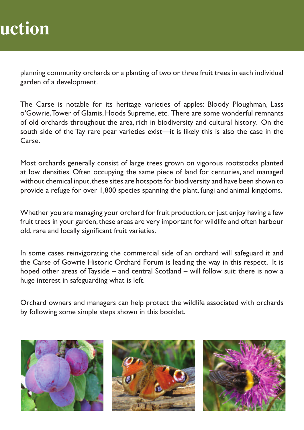## **duction**

planning community orchards or a planting of two or three fruit trees in each individual garden of a development.

The Carse is notable for its heritage varieties of apples: Bloody Ploughman, Lass o'Gowrie, Tower of Glamis, Hoods Supreme, etc. There are some wonderful remnants of old orchards throughout the area, rich in biodiversity and cultural history. On the south side of the Tay rare pear varieties exist—it is likely this is also the case in the Carse.

Most orchards generally consist of large trees grown on vigorous rootstocks planted at low densities. Often occupying the same piece of land for centuries, and managed without chemical input, these sites are hotspots for biodiversity and have been shown to provide a refuge for over 1,800 species spanning the plant, fungi and animal kingdoms.

Whether you are managing your orchard for fruit production, or just enjoy having a few fruit trees in your garden, these areas are very important for wildlife and often harbour old, rare and locally significant fruit varieties.

In some cases reinvigorating the commercial side of an orchard will safeguard it and the Carse of Gowrie Historic Orchard Forum is leading the way in this respect. It is hoped other areas of Tayside – and central Scotland – will follow suit: there is now a huge interest in safeguarding what is left.

Orchard owners and managers can help protect the wildlife associated with orchards by following some simple steps shown in this booklet.





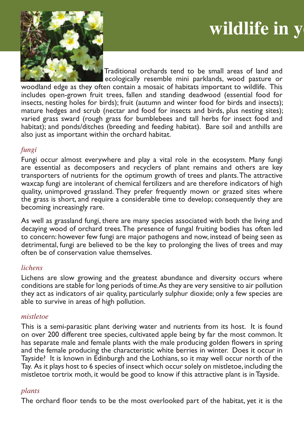# **wildlife in y**



Traditional orchards tend to be small areas of land and ecologically resemble mini parklands, wood pasture or

woodland edge as they often contain a mosaic of habitats important to wildlife. This includes open-grown fruit trees, fallen and standing deadwood (essential food for insects, nesting holes for birds); fruit (autumn and winter food for birds and insects); mature hedges and scrub (nectar and food for insects and birds, plus nesting sites); varied grass sward (rough grass for bumblebees and tall herbs for insect food and habitat); and ponds/ditches (breeding and feeding habitat). Bare soil and anthills are also just as important within the orchard habitat.

## *fungi*

Fungi occur almost everywhere and play a vital role in the ecosystem. Many fungi are essential as decomposers and recyclers of plant remains and others are key transporters of nutrients for the optimum growth of trees and plants. The attractive waxcap fungi are intolerant of chemical fertilizers and are therefore indicators of high quality, unimproved grassland. They prefer frequently mown or grazed sites where the grass is short, and require a considerable time to develop; consequently they are becoming increasingly rare.

As well as grassland fungi, there are many species associated with both the living and decaying wood of orchard trees. The presence of fungal fruiting bodies has often led to concern: however few fungi are major pathogens and now, instead of being seen as detrimental, fungi are believed to be the key to prolonging the lives of trees and may often be of conservation value themselves.

## *lichens*

Lichens are slow growing and the greatest abundance and diversity occurs where conditions are stable for long periods of time. As they are very sensitive to air pollution they act as indicators of air quality, particularly sulphur dioxide; only a few species are able to survive in areas of high pollution.

## *mistletoe*

This is a semi-parasitic plant deriving water and nutrients from its host. It is found on over 200 different tree species, cultivated apple being by far the most common. It has separate male and female plants with the male producing golden flowers in spring and the female producing the characteristic white berries in winter. Does it occur in Tayside? It is known in Edinburgh and the Lothians, so it may well occur north of the Tay. As it plays host to 6 species of insect which occur solely on mistletoe, including the mistletoe tortrix moth, it would be good to know if this attractive plant is in Tayside.

## *plants*

The orchard floor tends to be the most overlooked part of the habitat, yet it is the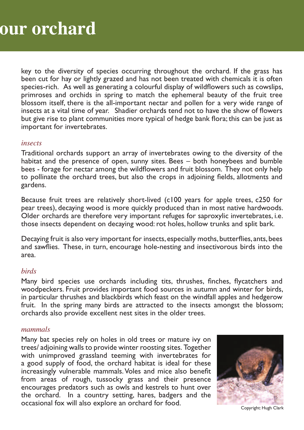## **your orchard**

key to the diversity of species occurring throughout the orchard. If the grass has been cut for hay or lightly grazed and has not been treated with chemicals it is often species-rich. As well as generating a colourful display of wildflowers such as cowslips, primroses and orchids in spring to match the ephemeral beauty of the fruit tree blossom itself, there is the all-important nectar and pollen for a very wide range of insects at a vital time of year. Shadier orchards tend not to have the show of flowers but give rise to plant communities more typical of hedge bank flora; this can be just as important for invertebrates.

#### *insects*

Traditional orchards support an array of invertebrates owing to the diversity of the habitat and the presence of open, sunny sites. Bees – both honeybees and bumble bees - forage for nectar among the wildflowers and fruit blossom. They not only help to pollinate the orchard trees, but also the crops in adjoining fields, allotments and gardens.

Because fruit trees are relatively short-lived (c100 years for apple trees, c250 for pear trees), decaying wood is more quickly produced than in most native hardwoods. Older orchards are therefore very important refuges for saproxylic invertebrates, i.e. those insects dependent on decaying wood: rot holes, hollow trunks and split bark.

Decaying fruit is also very important for insects, especially moths, butterflies, ants, bees and sawflies. These, in turn, encourage hole-nesting and insectivorous birds into the area.

#### *birds*

Many bird species use orchards including tits, thrushes, finches, flycatchers and woodpeckers. Fruit provides important food sources in autumn and winter for birds, in particular thrushes and blackbirds which feast on the windfall apples and hedgerow fruit. In the spring many birds are attracted to the insects amongst the blossom; orchards also provide excellent nest sites in the older trees.

#### *mammals*

Many bat species rely on holes in old trees or mature ivy on trees/ adjoining walls to provide winter roosting sites. Together with unimproved grassland teeming with invertebrates for a good supply of food, the orchard habitat is ideal for these increasingly vulnerable mammals. Voles and mice also benefit from areas of rough, tussocky grass and their presence encourages predators such as owls and kestrels to hunt over the orchard. In a country setting, hares, badgers and the occasional fox will also explore an orchard for food. Copyright: Hugh Clark

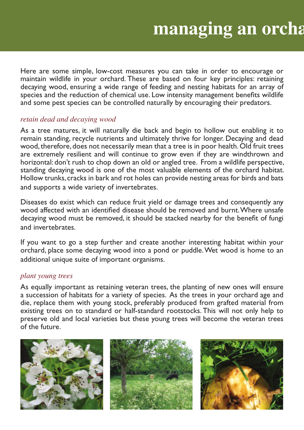Here are some simple, low-cost measures you can take in order to encourage or maintain wildlife in your orchard. These are based on four key principles: retaining decaying wood, ensuring a wide range of feeding and nesting habitats for an array of species and the reduction of chemical use. Low intensity management benefits wildlife and some pest species can be controlled naturally by encouraging their predators.

## *retain dead and decaying wood*

As a tree matures, it will naturally die back and begin to hollow out enabling it to remain standing, recycle nutrients and ultimately thrive for longer. Decaying and dead wood, therefore, does not necessarily mean that a tree is in poor health. Old fruit trees are extremely resilient and will continue to grow even if they are windthrown and horizontal: don't rush to chop down an old or angled tree. From a wildlife perspective, standing decaying wood is one of the most valuable elements of the orchard habitat. Hollow trunks, cracks in bark and rot holes can provide nesting areas for birds and bats and supports a wide variety of invertebrates.

Diseases do exist which can reduce fruit yield or damage trees and consequently any wood affected with an identified disease should be removed and burnt. Where unsafe decaying wood must be removed, it should be stacked nearby for the benefit of fungi and invertebrates.

If you want to go a step further and create another interesting habitat within your orchard, place some decaying wood into a pond or puddle. Wet wood is home to an additional unique suite of important organisms.

## *plant young trees*

As equally important as retaining veteran trees, the planting of new ones will ensure a succession of habitats for a variety of species. As the trees in your orchard age and die, replace them with young stock, preferably produced from grafted material from existing trees on to standard or half-standard rootstocks. This will not only help to preserve old and local varieties but these young trees will become the veteran trees of the future.

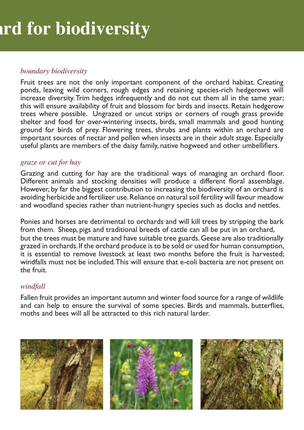## *boundary biodiversity*

Fruit trees are not the only important component of the orchard habitat. Creating ponds, leaving wild corners, rough edges and retaining species-rich hedgerows will increase diversity. Trim hedges infrequently and do not cut them all in the same year; this will ensure availability of fruit and blossom for birds and insects. Retain hedgerow trees where possible. Ungrazed or uncut strips or corners of rough grass provide shelter and food for over-wintering insects, birds, small mammals and good hunting ground for birds of prey. Flowering trees, shrubs and plants within an orchard are important sources of nectar and pollen when insects are in their adult stage. Especially useful plants are members of the daisy family, native hogweed and other umbellifiers.

## *graze or cut for hay*

Grazing and cutting for hay are the traditional ways of managing an orchard floor. Different animals and stocking densities will produce a different floral assemblage. However, by far the biggest contribution to increasing the biodiversity of an orchard is avoiding herbicide and fertilizer use. Reliance on natural soil fertility will favour meadow and woodland species rather than nutrient-hungry species such as docks and nettles.

Ponies and horses are detrimental to orchards and will kill trees by stripping the bark from them. Sheep, pigs and traditional breeds of cattle can all be put in an orchard, but the trees must be mature and have suitable tree guards. Geese are also traditionally grazed in orchards. If the orchard produce is to be sold or used for human consumption, it is essential to remove livestock at least two months before the fruit is harvested; windfalls must not be included. This will ensure that e-coli bacteria are not present on the fruit.

## *windfall*

Fallen fruit provides an important autumn and winter food source for a range of wildlife and can help to ensure the survival of some species. Birds and mammals, butterflies, moths and bees will all be attracted to this rich natural larder.

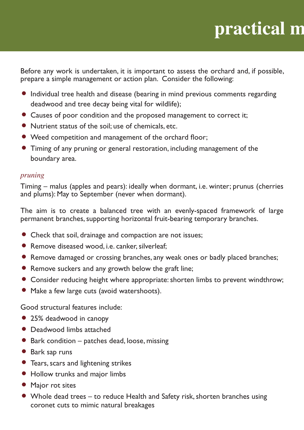# **practical m**

Before any work is undertaken, it is important to assess the orchard and, if possible, prepare a simple management or action plan. Consider the following:

- . Individual tree health and disease (bearing in mind previous comments regarding deadwood and tree decay being vital for wildlife); • Individual tree health and disease (bearing in mind previous comments<br>deadwood and tree decay being vital for wildlife);<br>• Causes of poor condition and the proposed management to correct it;
- 
- deadwood and tree decay being vital for wildlife<br>● Causes of poor condition and the proposed mai<br>● Nutrient status of the soil; use of chemicals, etc.
- Nutrient status of the soil; use of chemicals, etc.<br>• Weed competition and management of the orchard floor;
- . Timing of any pruning or general restoration, including management of the boundary area.

## *pruning*

Timing – malus (apples and pears): ideally when dormant, i.e. winter; prunus (cherries and plums): May to September (never when dormant).

The aim is to create a balanced tree with an evenly-spaced framework of large permanent branches, supporting horizontal fruit-bearing temporary branches.<br>
• Check that soil, drainage and compaction are not issues;

- Check that soil, drainage and compaction are not issues;<br>• Remove diseased wood, i.e. canker, silverleaf:
- 
- . Remove damaged or crossing branches, any weak ones or badly placed branches;
- Remove suckers and any growth below the graft line;
- . Consider reducing height where appropriate: shorten limbs to prevent windthrow;
- . Make a few large cuts (avoid watershoots).

Good structural features include: e Good structural features incl<br>● 25% deadwood in canopy

- 
- Good structural reatures inclu<br>● 25% deadwood in canopy<br>● Deadwood limbs attached
- 25% deadwood in canopy<br>• Deadwood limbs attached<br>• Bark condition patches dead, loose, missing • Deadwood III<br>• Bark conditio<br>• Bark sap runs
- 
- Bark sap runs<br>• Tears, scars and lightening strikes • Bark sap runs<br>• Tears, scars and lightening strike<br>• Hollow trunks and major limbs
- 
- Tears, scars and<br>• Hollow trunks<br>• Major rot sites
- Major rot sites<br>● Whole dead trees to reduce Health and Safety risk, shorten branches using coronet cuts to mimic natural breakages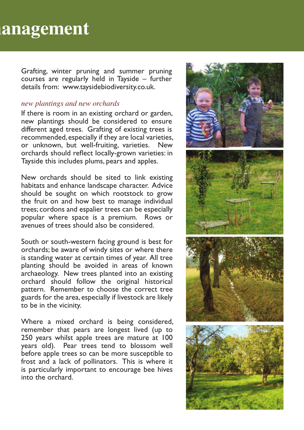## **management**

Grafting, winter pruning and summer pruning courses are regularly held in Tayside – further details from: www.taysidebiodiversity.co.uk.

#### *new plantings and new orchards*

If there is room in an existing orchard or garden, new plantings should be considered to ensure different aged trees. Grafting of existing trees is recommended, especially if they are local varieties, or unknown, but well-fruiting, varieties. New orchards should reflect locally-grown varieties: in Tayside this includes plums, pears and apples.

New orchards should be sited to link existing habitats and enhance landscape character. Advice should be sought on which rootstock to grow the fruit on and how best to manage individual trees; cordons and espalier trees can be especially popular where space is a premium. Rows or avenues of trees should also be considered.

South or south-western facing ground is best for orchards; be aware of windy sites or where there is standing water at certain times of year. All tree planting should be avoided in areas of known archaeology. New trees planted into an existing orchard should follow the original historical pattern. Remember to choose the correct tree guards for the area, especially if livestock are likely to be in the vicinity.

Where a mixed orchard is being considered, remember that pears are longest lived (up to 250 years whilst apple trees are mature at 100 years old). Pear trees tend to blossom well before apple trees so can be more susceptible to frost and a lack of pollinators. This is where it is particularly important to encourage bee hives into the orchard.

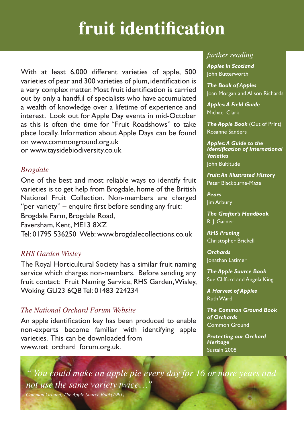## **fruit identifi cation**

With at least 6,000 different varieties of apple, 500 varieties of pear and 300 varieties of plum, identification is a very complex matter. Most fruit identification is carried out by only a handful of specialists who have accumulated a wealth of knowledge over a lifetime of experience and interest. Look out for Apple Day events in mid-October as this is often the time for "Fruit Roadshows" to take place locally. Information about Apple Days can be found on www.commonground.org.uk or www.taysidebiodiversity.co.uk

## *Brogdale*

One of the best and most reliable ways to identify fruit varieties is to get help from Brogdale, home of the British National Fruit Collection. Non-members are charged "per variety" – enquire first before sending any fruit: Brogdale Farm, Brogdale Road,

Faversham, Kent, ME13 8XZ

Tel: 01795 536250 Web: www.brogdalecollections.co.uk

## *RHS Garden Wisley*

The Royal Horticultural Society has a similar fruit naming service which charges non-members. Before sending any fruit contact: Fruit Naming Service, RHS Garden, Wisley, Woking GU23 6QB Tel: 01483 224234

## *The National Orchard Forum Website*

An apple identification key has been produced to enable non-experts become familiar with identifying apple varieties. This can be downloaded from www.nat\_orchard\_forum.org.uk.

## *further reading*

*Apples in Scotland* John Butterworth

*The Book of Apples* Joan Morgan and Alison Richards

*Apples: A Field Guide* Michael Clark

*The Apple Book* (Out of Print) Rosanne Sanders

*Apples: A Guide to the Identifi cation of International Varieties* John Bultitude

*Fruit: An Illustrated History* Peter Blackburne-Maze

*Pears* Jim Arbury

*The Grafter's Handbook* R. J. Garner

*RHS Pruning* Christopher Brickell

*Orchards* Jonathan Latimer

*The Apple Source Book* Sue Clifford and Angela King

*A Harvest of Apples* Ruth Ward

*The Common Ground Book of Orchards* Common Ground

*Protecting our Orchard Heritage* Sustain 2008

*" You could make an apple pie every day for 16 or more years and not use the same variety twice…"*

*Common Ground, The Apple Source Book(1991)*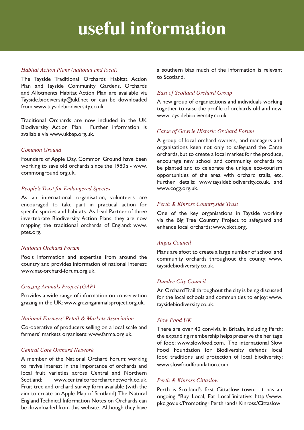## **useful information**

#### *Habitat Action Plans (national and local)*

The Tayside Traditional Orchards Habitat Action Plan and Tayside Community Gardens, Orchards and Allotments Habitat Action Plan are available via Tayside.biodiversity@ukf.net or can be downloaded from www.taysidebiodiversity.co.uk.

Traditional Orchards are now included in the UK Biodiversity Action Plan. Further information is available via www.ukbap.org.uk.

#### *Common Ground*

Founders of Apple Day, Common Ground have been working to save old orchards since the 1980's - www. commonground.org.uk.

#### *People's Trust for Endangered Species*

As an international organisation, volunteers are encouraged to take part in practical action for specific species and habitats. As Lead Partner of three invertebrate Biodiversity Action Plans, they are now mapping the traditional orchards of England: www. ptes.org.

#### *National Orchard Forum*

Pools information and expertise from around the country and provides information of national interest: www.nat-orchard-forum.org.uk.

#### *Grazing Animals Project (GAP)*

Provides a wide range of information on conservation grazing in the UK: www.grazinganimalsproject.org.uk.

#### *National Farmers' Retail & Markets Association*

Co-operative of producers selling on a local scale and farmers' markets organisers: www.farma.org.uk.

#### *Central Core Orchard Network*

A member of the National Orchard Forum; working to revive interest in the importance of orchards and local fruit varieties across Central and Northern Scotland: www.centralcoreorchardnetwork.co.uk. Fruit tree and orchard survey form available (with the aim to create an Apple Map of Scotland). The Natural England Technical Information Notes on Orchards can be downloaded from this website. Although they have a southern bias much of the information is relevant to Scotland.

#### *East of Scotland Orchard Group*

A new group of organizations and individuals working together to raise the profile of orchards old and new: www.taysidebiodiversity.co.uk.

#### *Carse of Gowrie Historic Orchard Forum*

A group of local orchard owners, land managers and organisations keen not only to safeguard the Carse orchards, but to create a local market for the produce, encourage new school and community orchards to be planted and to celebrate the unique eco-tourism opportunities of the area with orchard trails, etc. Further details: www.taysidebiodiversity.co.uk. and www.cogg.org.uk.

#### *Perth & Kinross Countryside Trust*

One of the key organisations in Tayside working via the Big Tree Country Project to safeguard and enhance local orchards: www.pkct.org.

#### *Angus Council*

Plans are afoot to create a large number of school and community orchards throughout the county: www. taysidebiodiversity.co.uk.

#### *Dundee City Council*

An Orchard Trail throughout the city is being discussed for the local schools and communities to enjoy: www. taysidebiodiversity.co.uk.

#### *Slow Food UK*

There are over 40 convivia in Britain, including Perth; the expanding membership helps preserve the heritage of food: www.slowfood.com. The international Slow Food Foundation for Biodiversity defends local food traditions and protection of local biodiversity: www.slowfoodfoundation.com.

#### *Perth & Kinross Cittaslow*

Perth is Scotland's first Cittaslow town. It has an ongoing "Buy Local, Eat Local"initative: http://www. pkc.gov.uk/Promoting+Perth+and+Kinross/Cittaslow